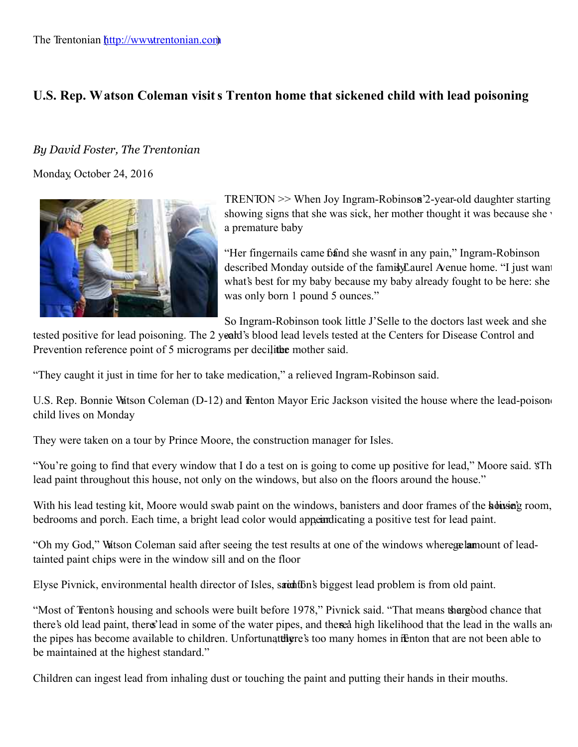## U.S. Rep. Watson Coleman visits Trenton home that sickened child with lead poisoning

## *By David Foster, The Trentonian*

Monday, October 24, 2016



 $TRENTON$   $\gg$  When Joy Ingram-Robinson<sup>2</sup>-year-old daughter starting showing signs that she was sick, her mother thought it was because she was a premature baby.

"Her fingernails came band she wasnt in any pain," Ingram-Robinson described Monday outside of the family Laurel Avenue home. "I just want what's best for my baby because my baby already fought to be here: she was only born 1 pound 5 ounces."

So Ingram-Robinson took little J'Selle to the doctors last week and she

tested positive for lead poisoning. The 2 yeard's blood lead levels tested at the Centers for Disease Control and Prevention reference point of 5 micrograms per decilited mother said.

"They caught it just in time for her to take medication," a relieved Ingram-Robinson said.

U.S. Rep. Bonnie Watson Coleman (D-12) and Tenton Mayor Eric Jackson visited the house where the lead-poisone child lives on Monday.

They were taken on a tour by Prince Moore, the construction manager for Isles.

"You're going to find that every window that I do a test on is going to come up positive for lead," Moore said. "STh lead paint throughout this house, not only on the windows, but also on the floors around the house."

With his lead testing kit, Moore would swab paint on the windows, banisters and door frames of the house's room, bedrooms and porch. Each time, a bright lead color would appear dicating a positive test for lead paint.

"Oh my God," Watson Coleman said after seeing the test results at one of the windows where **ge lam**ount of leadtainted paint chips were in the window sill and on the floor .

Elyse Pivnick, environmental health director of Isles, said that biggest lead problem is from old paint.

"Most of Trenton's housing and schools were built before 1978," Pivnick said. "That means therefood chance that there's old lead paint, there's lead in some of the water pipes, and therea high likelihood that the lead in the walls and the pipes has become available to children. Unfortunately re's too many homes in Fenton that are not been able to be maintained at the highest standard."

Children can ingest lead from inhaling dust or touching the paint and putting their hands in their mouths.